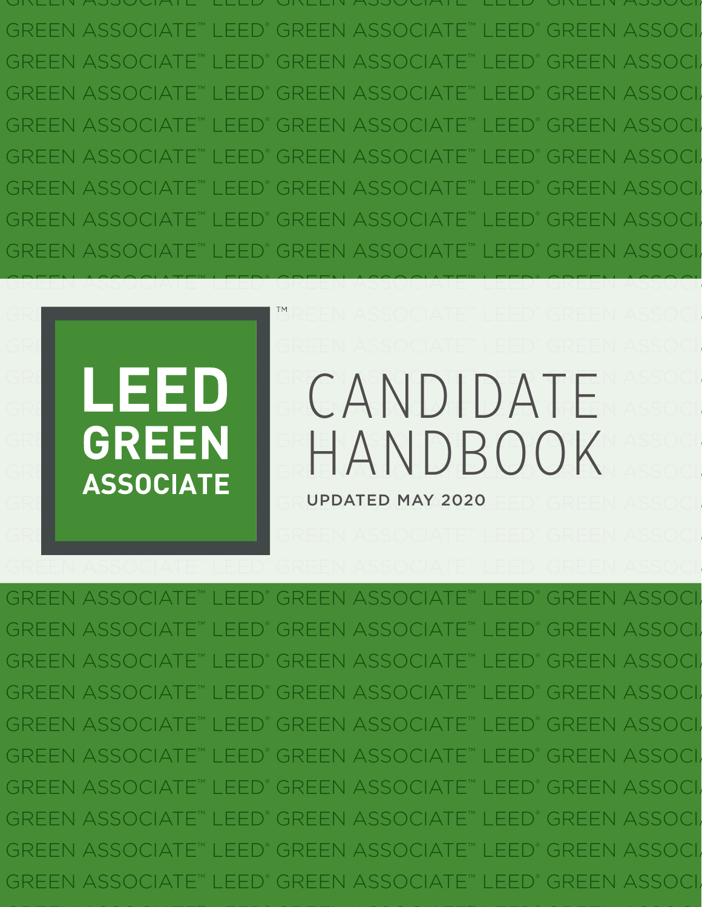GREEN ASSOCIATE ELLE GREEN ASSOCIATE ELLE GREEN ASSOCIA GREEN ASSOCIATE™ LEED® GREEN ASSOCIATE™ LEED® GREEN ASSOCI GREEN ASSOCIATE™ LEED® GREEN ASSOCIATE™ LEED® GREEN ASSOCI GREEN ASSOCIATE™ LEED® GREEN ASSOCIATE™ LEED® GREEN ASSOCI GREEN ASSOCIATE™ LEED® GREEN ASSOCIATE™ LEED® GREEN ASSOCI GREEN ASSOCIATE™ I EED GREEN ASSOCIATE™ LEED® GREEN ASSOC GREEN ASSOCIATE™ LEED® GREEN ASSOCIATE™ LEED® GREEN ASSOCI GREEN ASSOCIATE™ LEED® GREEN ASSOCIATE<sup>™</sup> LEED GREEN ASSOCI GREEN ASSOCIATE™ LEED® GREEN ASSOCIATE™ LEED® GREEN ASSOCI

GREEN ASSOCIATE™ LEED®

### GREEN ASSOCIATE I**™**REEN ASSOCIATE™ LEED® GREEN ASSOCIATE™ LEE GREEN EN EEN ASSOCIATE GREEN ASSOCIATE™ ASSOCIATE™ ASSOCIATE™  $GRE \rightarrow \blacksquare$ GR**EEN ASSOCIATEMENT ASSOCIATE GREEN** IGREEN ASSOCIATEN ASSOCIATEWASSOCIA **ASSOCIATE** GREEANDBOOK GREEN ASSOCIATE™ LEE BREER MAY 2020 END GREEN ASSOCIATE™ LEE CANDIDATE

GREEN ASSOCIATE™ LEED®

GREEN ASSOCI

GREEN ASSOCIATE™ LEED® GREEN ASSOCIATE™ LEED® GREEN ASSOCI GREEN ASSOCIATE™ LEED® GREEN ASSOCIATE™ LEED® GREEN ASSOCI GREEN ASSOCIATE™ LEED® GREEN ASSOCIATE™ LEED® GREEN ASSOC GREEN ASSOCIATE™ LEED® GREEN ASSOCIAT GREEN ASSOC GREEN ASSOCIATE™ LEED® GREEN ASSOCIATE™ LEED® GREEN ASSOC GREEN ASSOCIATE™ I FED® GREEN ASSOCIATE™ LEED® GREEN ASSOCI GREEN ASSOCIATE™ LEED® GREEN ASSOCIATE™ LEED® GREEN ASSOCI GREEN ASSOCIATE™ LEED® GREEN ASSOCIATE™ LEED® GREEN ASSOCI GREEN ASSOCIATE™ LEED® GREEN ASSOCIATE™ LEED® GREEN ASSOCI GREEN ASSOCIATE' LEED® GREEN ASSOCIATE™ LEED GREEN ASSOC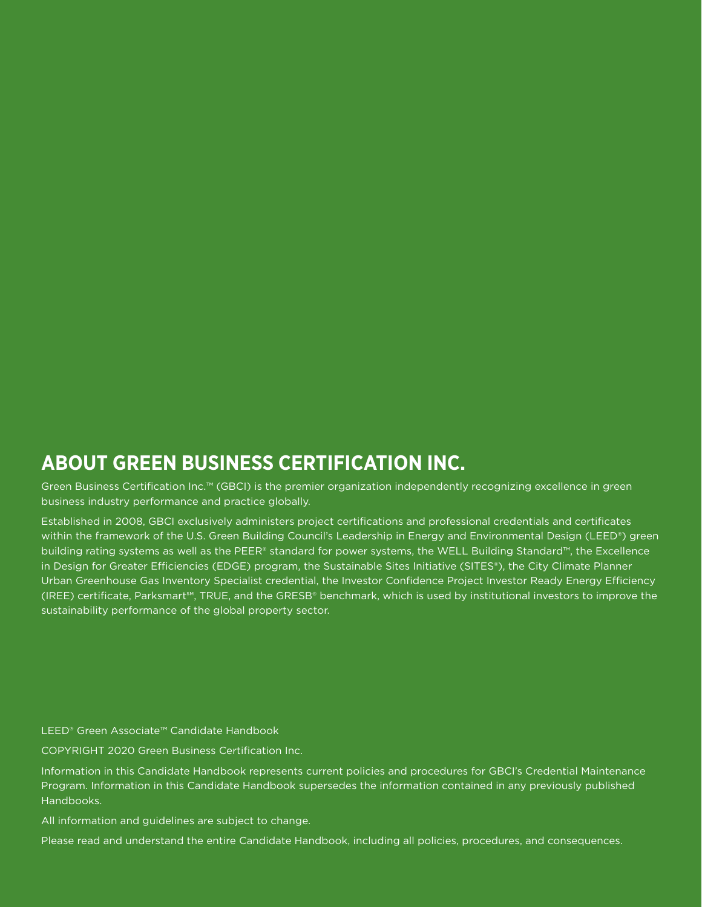## **ABOUT GREEN BUSINESS CERTIFICATION INC.**

Green Business Certification Inc.™ (GBCI) is the premier organization independently recognizing excellence in green business industry performance and practice globally.

Established in 2008, GBCI exclusively administers project certifications and professional credentials and certificates within the framework of the U.S. Green Building Council's Leadership in Energy and Environmental Design (LEED®) green building rating systems as well as the PEER® standard for power systems, the WELL Building Standard™, the Excellence in Design for Greater Efficiencies (EDGE) program, the Sustainable Sites Initiative (SITES®), the City Climate Planner Urban Greenhouse Gas Inventory Specialist credential, the Investor Confidence Project Investor Ready Energy Efficiency (IREE) certificate, Parksmart℠, TRUE, and the GRESB® benchmark, which is used by institutional investors to improve the sustainability performance of the global property sector.

LEED® Green Associate™ Candidate Handbook

COPYRIGHT 2020 Green Business Certification Inc.

Information in this Candidate Handbook represents current policies and procedures for GBCI's Credential Maintenance Program. Information in this Candidate Handbook supersedes the information contained in any previously published Handbooks.

All information and guidelines are subject to change.

Please read and understand the entire Candidate Handbook, including all policies, procedures, and consequences.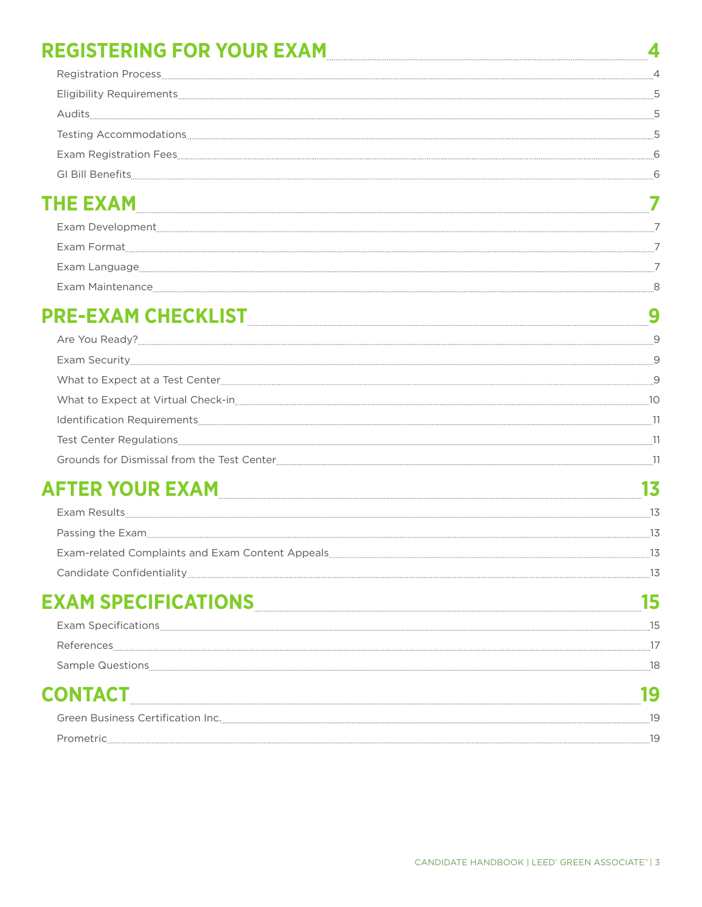| REGISTERING FOR YOUR EXAM                                                                                                                                                                                                      |    |
|--------------------------------------------------------------------------------------------------------------------------------------------------------------------------------------------------------------------------------|----|
|                                                                                                                                                                                                                                |    |
|                                                                                                                                                                                                                                |    |
|                                                                                                                                                                                                                                |    |
|                                                                                                                                                                                                                                |    |
|                                                                                                                                                                                                                                |    |
|                                                                                                                                                                                                                                |    |
|                                                                                                                                                                                                                                |    |
|                                                                                                                                                                                                                                |    |
|                                                                                                                                                                                                                                |    |
| Exam Language 27 2012 12:00 12:00 12:00 12:00 12:00 12:00 12:00 12:00 12:00 12:00 12:00 12:00 12:00 12:00 12:00 12:00 12:00 12:00 12:00 12:00 12:00 12:00 12:00 12:00 12:00 12:00 12:00 12:00 12:00 12:00 12:00 12:00 12:00 12 |    |
| Exam Maintenance 88 and the settlement of the settlement of the settlement of the settlement of the settlement of the settlement of the settlement of the settlement of the settlement of the settlement of the settlement of  |    |
| PRE-EXAM CHECKLISTNAG 2009 2012 2022 2023                                                                                                                                                                                      |    |
|                                                                                                                                                                                                                                |    |
|                                                                                                                                                                                                                                |    |
|                                                                                                                                                                                                                                |    |
|                                                                                                                                                                                                                                |    |
|                                                                                                                                                                                                                                |    |
|                                                                                                                                                                                                                                |    |
|                                                                                                                                                                                                                                |    |
| AFTER YOUR EXAM                                                                                                                                                                                                                | 13 |
|                                                                                                                                                                                                                                |    |
| Passing the Exam 35 and the material and the exame and the exame and the state of the exame and the exame and the state of the state of the state of the state of the state of the state of the state of the state of the stat |    |
|                                                                                                                                                                                                                                |    |
|                                                                                                                                                                                                                                |    |
| EXAM SPECIFICATIONS EXAMPLE TO THE RESERVE THE RESERVE TO THE RESERVE THE RESERVE THE RESERVE THE RESERVE THE                                                                                                                  |    |
|                                                                                                                                                                                                                                |    |
|                                                                                                                                                                                                                                |    |
|                                                                                                                                                                                                                                |    |
| <b>CONTACT</b>                                                                                                                                                                                                                 | 19 |
|                                                                                                                                                                                                                                |    |
|                                                                                                                                                                                                                                |    |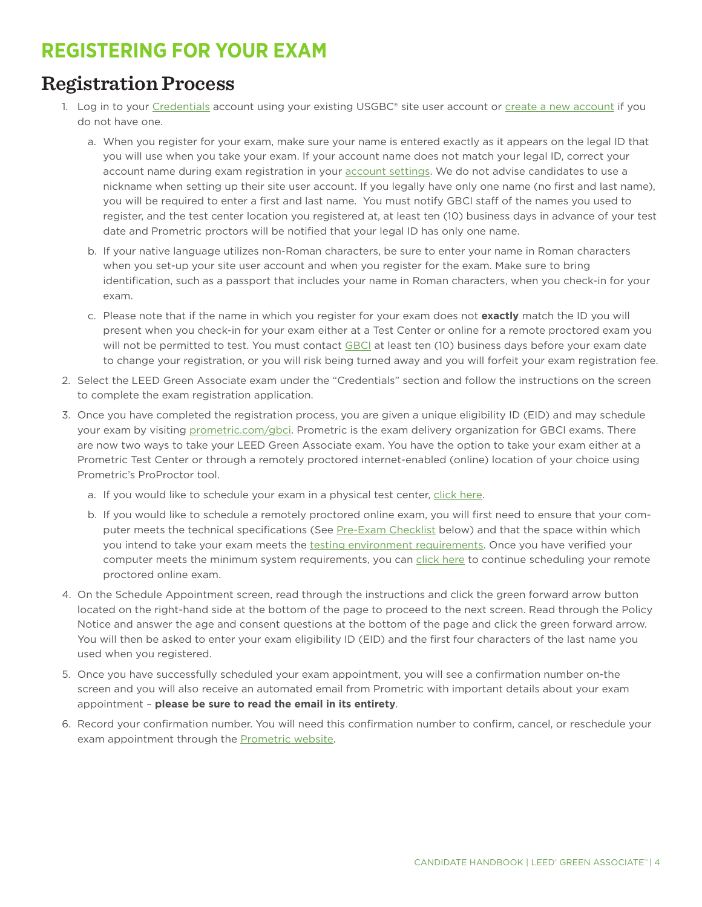# <span id="page-3-0"></span>**REGISTERING FOR YOUR EXAM**

## **Registration Process**

- 1. Log in to your [Credentials](http://www.usgbc.org/account/credentials) account using your existing USGBC® site user account or [create a new account](https://www.usgbc.org/registration/create-user) if you do not have one.
	- a. When you register for your exam, make sure your name is entered exactly as it appears on the legal ID that you will use when you take your exam. If your account name does not match your legal ID, correct your account name during exam registration in your [account settings](https://www.usgbc.org/account/settings). We do not advise candidates to use a nickname when setting up their site user account. If you legally have only one name (no first and last name), you will be required to enter a first and last name. You must notify GBCI staff of the names you used to register, and the test center location you registered at, at least ten (10) business days in advance of your test date and Prometric proctors will be notified that your legal ID has only one name.
	- b. If your native language utilizes non-Roman characters, be sure to enter your name in Roman characters when you set-up your site user account and when you register for the exam. Make sure to bring identification, such as a passport that includes your name in Roman characters, when you check-in for your exam.
	- c. Please note that if the name in which you register for your exam does not **exactly** match the ID you will present when you check-in for your exam either at a Test Center or online for a remote proctored exam you will not be permitted to test. You must contact [GBCI](http://www.gbci.org/contact) at least ten (10) business days before your exam date to change your registration, or you will risk being turned away and you will forfeit your exam registration fee.
- 2. Select the LEED Green Associate exam under the "Credentials" section and follow the instructions on the screen to complete the exam registration application.
- 3. Once you have completed the registration process, you are given a unique eligibility ID (EID) and may schedule your exam by visiting [prometric.com/gbci](http://www.prometric.com/gbci). Prometric is the exam delivery organization for GBCI exams. There are now two ways to take your LEED Green Associate exam. You have the option to take your exam either at a Prometric Test Center or through a remotely proctored internet-enabled (online) location of your choice using Prometric's ProProctor tool.
	- a. If you would like to schedule your exam in a physical test center, [click here.](https://proscheduler.prometric.com/)
	- b. If you would like to schedule a remotely proctored online exam, you will first need to ensure that your com-puter meets the technical specifications (See [Pre-Exam Checklist](#page-8-1) below) and that the space within which you intend to take your exam meets the [testing environment requirements.](https://www.prometric.com/sites/default/files/2020-04/PrometricProUserGuide_3.1_1.pdf) Once you have verified your computer meets the minimum system requirements, you can [click here](https://proscheduler.prometric.com/?prg=GBCI&path=proctorsch) to continue scheduling your remote proctored online exam.
- 4. On the Schedule Appointment screen, read through the instructions and click the green forward arrow button located on the right-hand side at the bottom of the page to proceed to the next screen. Read through the Policy Notice and answer the age and consent questions at the bottom of the page and click the green forward arrow. You will then be asked to enter your exam eligibility ID (EID) and the first four characters of the last name you used when you registered.
- 5. Once you have successfully scheduled your exam appointment, you will see a confirmation number on-the screen and you will also receive an automated email from Prometric with important details about your exam appointment – **please be sure to read the email in its entirety**.
- 6. Record your confirmation number. You will need this confirmation number to confirm, cancel, or reschedule your exam appointment through the [Prometric website.](http://www.prometric.com/gbci)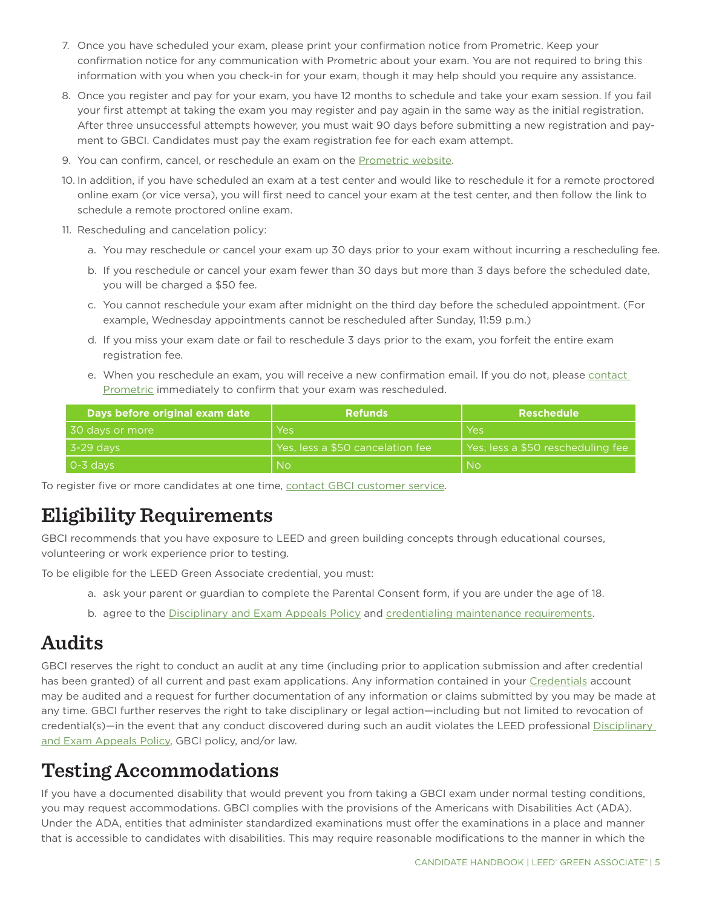- <span id="page-4-0"></span>7. Once you have scheduled your exam, please print your confirmation notice from Prometric. Keep your confirmation notice for any communication with Prometric about your exam. You are not required to bring this information with you when you check-in for your exam, though it may help should you require any assistance.
- 8. Once you register and pay for your exam, you have 12 months to schedule and take your exam session. If you fail your first attempt at taking the exam you may register and pay again in the same way as the initial registration. After three unsuccessful attempts however, you must wait 90 days before submitting a new registration and payment to GBCI. Candidates must pay the exam registration fee for each exam attempt.
- 9. You can confirm, cancel, or reschedule an exam on the [Prometric website.](http://www.prometric.com/gbci)
- 10. In addition, if you have scheduled an exam at a test center and would like to reschedule it for a remote proctored online exam (or vice versa), you will first need to cancel your exam at the test center, and then follow the link to schedule a remote proctored online exam.
- 11. Rescheduling and cancelation policy:
	- a. You may reschedule or cancel your exam up 30 days prior to your exam without incurring a rescheduling fee.
	- b. If you reschedule or cancel your exam fewer than 30 days but more than 3 days before the scheduled date, you will be charged a \$50 fee.
	- c. You cannot reschedule your exam after midnight on the third day before the scheduled appointment. (For example, Wednesday appointments cannot be rescheduled after Sunday, 11:59 p.m.)
	- d. If you miss your exam date or fail to reschedule 3 days prior to the exam, you forfeit the entire exam registration fee.
	- e. When you reschedule an exam, you will receive a new confirmation email. If you do not, please [contact](#page-18-0)  [Prometric](#page-18-0) immediately to confirm that your exam was rescheduled.

| Days before original exam date | <b>Refunds</b>                   | <b>Reschedule</b>                              |
|--------------------------------|----------------------------------|------------------------------------------------|
| 30 days or more                | Yes                              | l Yes                                          |
| 3-29 davs                      | Yes, less a \$50 cancelation fee | Yes, less a \$50 rescheduling fee <sup> </sup> |
| 0-3 davs                       | <b>No</b>                        | l No                                           |

To register five or more candidates at one time, [contact GBCI customer service.](http://gbci.org/contact)

# **Eligibility Requirements**

GBCI recommends that you have exposure to LEED and green building concepts through educational courses, volunteering or work experience prior to testing.

To be eligible for the LEED Green Associate credential, you must:

- a. ask your parent or guardian to complete the Parental Consent form, if you are under the age of 18.
- b. agree to the [Disciplinary and Exam Appeals Policy](http://www.gbci.org/gbci-disciplinary-and-exam-appeals-policy) and [credentialing maintenance requirements.](http://www.usgbc.org/resources/cmp-guide)

# **Audits**

GBCI reserves the right to conduct an audit at any time (including prior to application submission and after credential has been granted) of all current and past exam applications. Any information contained in your [Credentials](http://www.usgbc.org/account/credentials) account may be audited and a request for further documentation of any information or claims submitted by you may be made at any time. GBCI further reserves the right to take disciplinary or legal action—including but not limited to revocation of credential(s)—in the event that any conduct discovered during such an audit violates the LEED professional [Disciplinary](http://www.gbci.org/gbci-disciplinary-and-exam-appeals-policy)  [and Exam Appeals Policy](http://www.gbci.org/gbci-disciplinary-and-exam-appeals-policy), GBCI policy, and/or law.

# <span id="page-4-1"></span>**Testing Accommodations**

If you have a documented disability that would prevent you from taking a GBCI exam under normal testing conditions, you may request accommodations. GBCI complies with the provisions of the Americans with Disabilities Act (ADA). Under the ADA, entities that administer standardized examinations must offer the examinations in a place and manner that is accessible to candidates with disabilities. This may require reasonable modifications to the manner in which the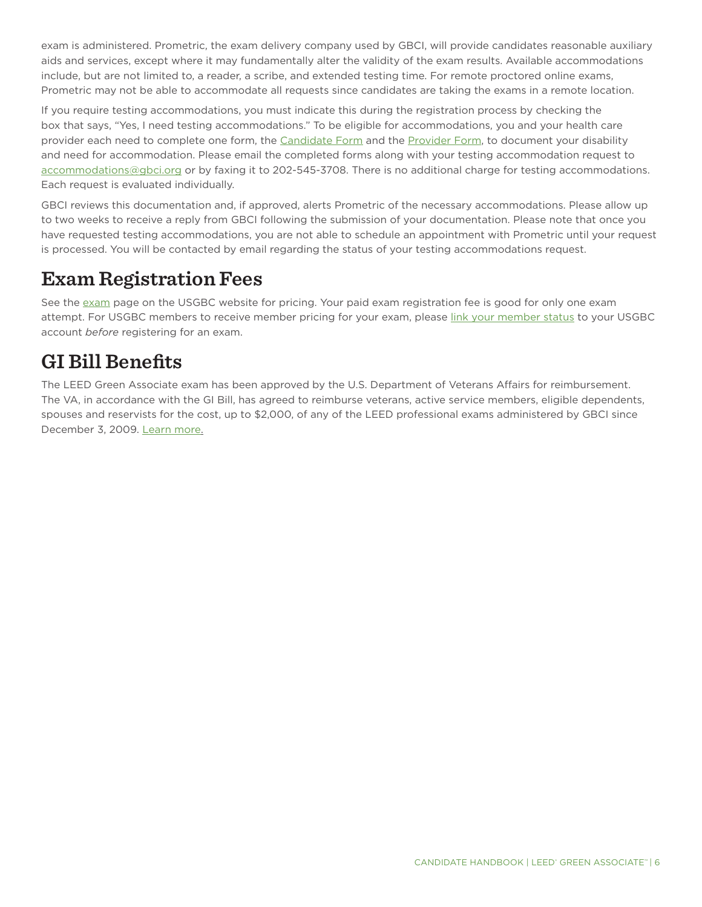<span id="page-5-0"></span>exam is administered. Prometric, the exam delivery company used by GBCI, will provide candidates reasonable auxiliary aids and services, except where it may fundamentally alter the validity of the exam results. Available accommodations include, but are not limited to, a reader, a scribe, and extended testing time. For remote proctored online exams, Prometric may not be able to accommodate all requests since candidates are taking the exams in a remote location.

If you require testing accommodations, you must indicate this during the registration process by checking the box that says, "Yes, I need testing accommodations." To be eligible for accommodations, you and your health care provider each need to complete one form, the [Candidate Form](http://www.gbci.org/candidate-form) and the [Provider Form](http://www.gbci.org/provider-form), to document your disability and need for accommodation. Please email the completed forms along with your testing accommodation request to [accommodations@gbci.org](mailto:accommodations@gbci.org) or by faxing it to 202-545-3708. There is no additional charge for testing accommodations. Each request is evaluated individually.

GBCI reviews this documentation and, if approved, alerts Prometric of the necessary accommodations. Please allow up to two weeks to receive a reply from GBCI following the submission of your documentation. Please note that once you have requested testing accommodations, you are not able to schedule an appointment with Prometric until your request is processed. You will be contacted by email regarding the status of your testing accommodations request.

## **Exam Registration Fees**

See the [exam](http://www.usgbc.org/credentials/leed-ap/exam) page on the USGBC website for pricing. Your paid exam registration fee is good for only one exam attempt. For USGBC members to receive member pricing for your exam, please [link your member status](http://www.usgbc.org/help/how-do-i-add-employees-member-account) to your USGBC account *before* registering for an exam.

# **GI Bill Benefits**

The LEED Green Associate exam has been approved by the U.S. Department of Veterans Affairs for reimbursement. The VA, in accordance with the GI Bill, has agreed to reimburse veterans, active service members, eligible dependents, spouses and reservists for the cost, up to \$2,000, of any of the LEED professional exams administered by GBCI since December 3, 2009. [Learn more.](https://www.usgbc.org/articles/leed-credential-exams-eligible-reimbursement-under-gi-bill)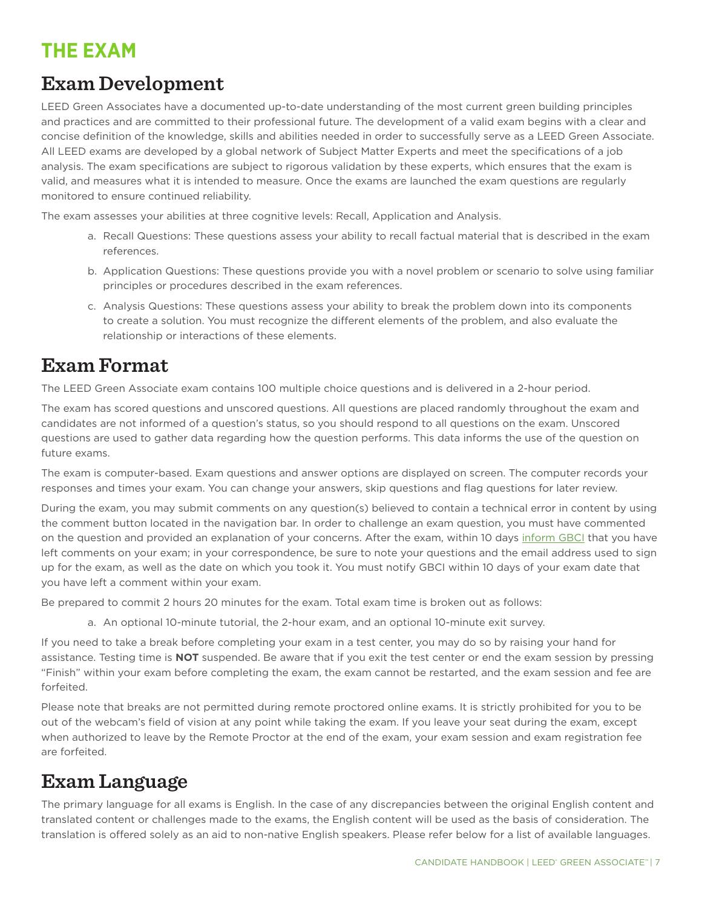# <span id="page-6-0"></span>**THE EXAM**

# **Exam Development**

LEED Green Associates have a documented up-to-date understanding of the most current green building principles and practices and are committed to their professional future. The development of a valid exam begins with a clear and concise definition of the knowledge, skills and abilities needed in order to successfully serve as a LEED Green Associate. All LEED exams are developed by a global network of Subject Matter Experts and meet the specifications of a job analysis. The exam specifications are subject to rigorous validation by these experts, which ensures that the exam is valid, and measures what it is intended to measure. Once the exams are launched the exam questions are regularly monitored to ensure continued reliability.

The exam assesses your abilities at three cognitive levels: Recall, Application and Analysis.

- a. Recall Questions: These questions assess your ability to recall factual material that is described in the exam references.
- b. Application Questions: These questions provide you with a novel problem or scenario to solve using familiar principles or procedures described in the exam references.
- c. Analysis Questions: These questions assess your ability to break the problem down into its components to create a solution. You must recognize the different elements of the problem, and also evaluate the relationship or interactions of these elements.

## **Exam Format**

The LEED Green Associate exam contains 100 multiple choice questions and is delivered in a 2-hour period.

The exam has scored questions and unscored questions. All questions are placed randomly throughout the exam and candidates are not informed of a question's status, so you should respond to all questions on the exam. Unscored questions are used to gather data regarding how the question performs. This data informs the use of the question on future exams.

The exam is computer-based. Exam questions and answer options are displayed on screen. The computer records your responses and times your exam. You can change your answers, skip questions and flag questions for later review.

During the exam, you may submit comments on any question(s) believed to contain a technical error in content by using the comment button located in the navigation bar. In order to challenge an exam question, you must have commented on the question and provided an explanation of your concerns. After the exam, within 10 days [inform GBCI](http://www.gbci.org/contact) that you have left comments on your exam; in your correspondence, be sure to note your questions and the email address used to sign up for the exam, as well as the date on which you took it. You must notify GBCI within 10 days of your exam date that you have left a comment within your exam.

Be prepared to commit 2 hours 20 minutes for the exam. Total exam time is broken out as follows:

a. An optional 10-minute tutorial, the 2-hour exam, and an optional 10-minute exit survey.

If you need to take a break before completing your exam in a test center, you may do so by raising your hand for assistance. Testing time is **NOT** suspended. Be aware that if you exit the test center or end the exam session by pressing "Finish" within your exam before completing the exam, the exam cannot be restarted, and the exam session and fee are forfeited.

Please note that breaks are not permitted during remote proctored online exams. It is strictly prohibited for you to be out of the webcam's field of vision at any point while taking the exam. If you leave your seat during the exam, except when authorized to leave by the Remote Proctor at the end of the exam, your exam session and exam registration fee are forfeited.

## **Exam Language**

The primary language for all exams is English. In the case of any discrepancies between the original English content and translated content or challenges made to the exams, the English content will be used as the basis of consideration. The translation is offered solely as an aid to non-native English speakers. Please refer below for a list of available languages.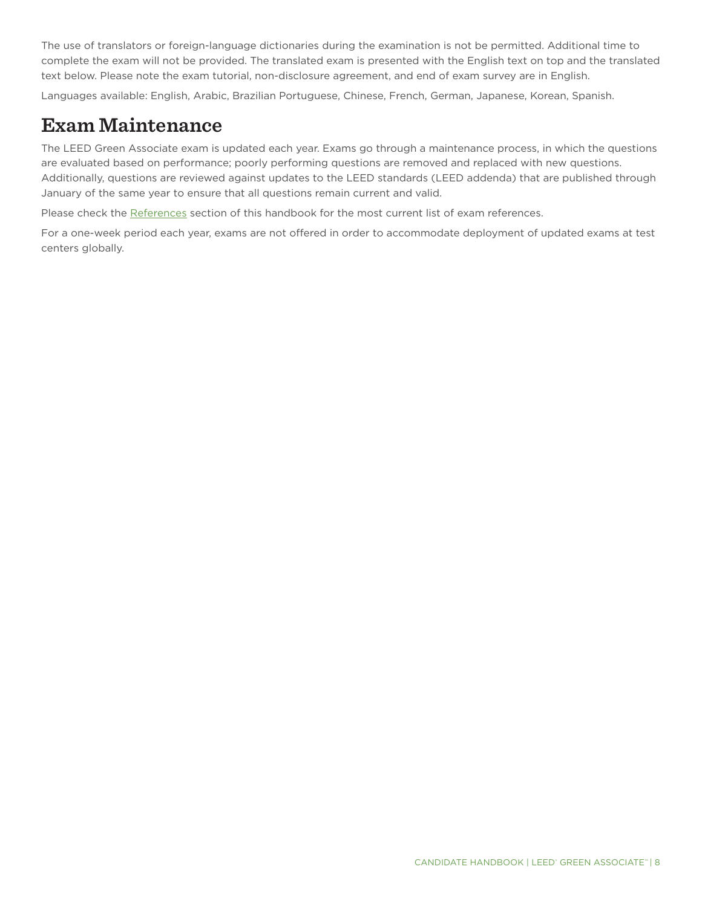<span id="page-7-0"></span>The use of translators or foreign-language dictionaries during the examination is not be permitted. Additional time to complete the exam will not be provided. The translated exam is presented with the English text on top and the translated text below. Please note the exam tutorial, non-disclosure agreement, and end of exam survey are in English.

Languages available: English, Arabic, Brazilian Portuguese, Chinese, French, German, Japanese, Korean, Spanish.

## **Exam Maintenance**

The LEED Green Associate exam is updated each year. Exams go through a maintenance process, in which the questions are evaluated based on performance; poorly performing questions are removed and replaced with new questions. Additionally, questions are reviewed against updates to the LEED standards (LEED addenda) that are published through January of the same year to ensure that all questions remain current and valid.

Please check the [References](#page-16-0) section of this handbook for the most current list of exam references.

For a one-week period each year, exams are not offered in order to accommodate deployment of updated exams at test centers globally.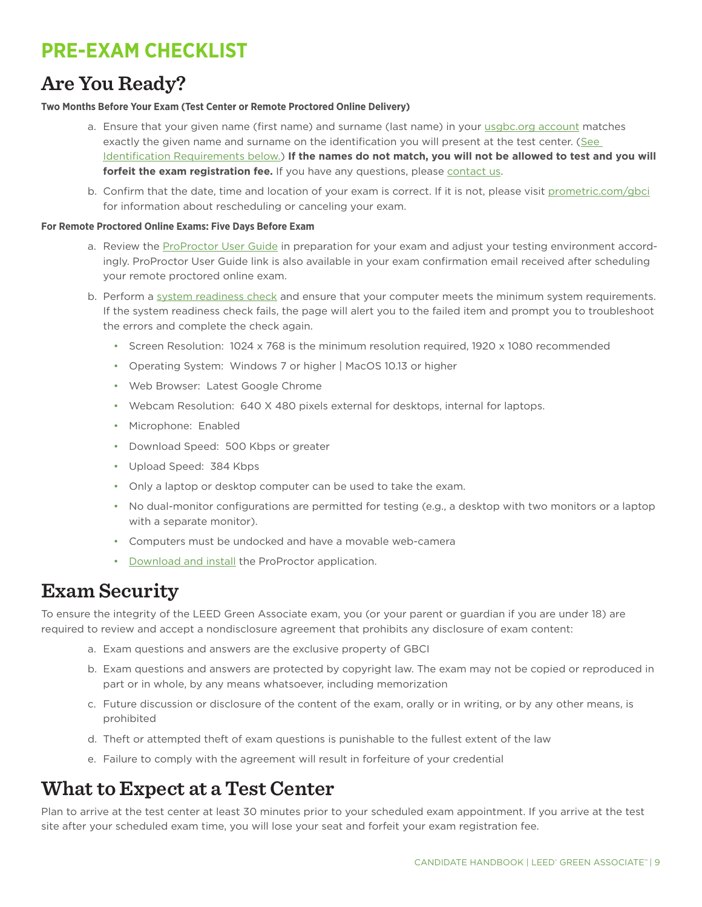# <span id="page-8-1"></span><span id="page-8-0"></span>**PRE-EXAM CHECKLIST**

## **Are You Ready?**

### **Two Months Before Your Exam (Test Center or Remote Proctored Online Delivery)**

- a. Ensure that your given name (first name) and surname (last name) in your [usgbc.org account](http://www.usgbc.org/account/credentials) matches exactly the given name and surname on the identification you will present at the test center. ([See](#page-10-0)  [Identification Requirements below.\)](#page-10-0) **If the names do not match, you will not be allowed to test and you will forfeit the exam registration fee.** If you have any questions, please [contact us.](#page-18-0)
- b. Confirm that the date, time and location of your exam is correct. If it is not, please visit [prometric.com/gbci](http://www.prometric.com/gbci) for information about rescheduling or canceling your exam.

### **For Remote Proctored Online Exams: Five Days Before Exam**

- a. Review the [ProProctor User Guide](https://www.prometric.com/sites/default/files/2020-04/PrometricProUserGuide_3.1_1.pdf) in preparation for your exam and adjust your testing environment accordingly. ProProctor User Guide link is also available in your exam confirmation email received after scheduling your remote proctored online exam.
- b. Perform a [system readiness check](https://rpcandidate.prometric.com/) and ensure that your computer meets the minimum system requirements. If the system readiness check fails, the page will alert you to the failed item and prompt you to troubleshoot the errors and complete the check again.
	- Screen Resolution: 1024 x 768 is the minimum resolution required, 1920 x 1080 recommended
	- Operating System: Windows 7 or higher | MacOS 10.13 or higher
	- Web Browser: Latest Google Chrome
	- Webcam Resolution: 640 X 480 pixels external for desktops, internal for laptops.
	- Microphone: Enabled
	- Download Speed: 500 Kbps or greater
	- Upload Speed: 384 Kbps
	- Only a laptop or desktop computer can be used to take the exam.
	- No dual-monitor configurations are permitted for testing (e.g., a desktop with two monitors or a laptop with a separate monitor).
	- Computers must be undocked and have a movable web-camera
	- [Download and install](https://rpcandidate.prometric.com/) the ProProctor application.

## **Exam Security**

To ensure the integrity of the LEED Green Associate exam, you (or your parent or guardian if you are under 18) are required to review and accept a nondisclosure agreement that prohibits any disclosure of exam content:

- a. Exam questions and answers are the exclusive property of GBCI
- b. Exam questions and answers are protected by copyright law. The exam may not be copied or reproduced in part or in whole, by any means whatsoever, including memorization
- c. Future discussion or disclosure of the content of the exam, orally or in writing, or by any other means, is prohibited
- d. Theft or attempted theft of exam questions is punishable to the fullest extent of the law
- e. Failure to comply with the agreement will result in forfeiture of your credential

## **What to Expect at a Test Center**

Plan to arrive at the test center at least 30 minutes prior to your scheduled exam appointment. If you arrive at the test site after your scheduled exam time, you will lose your seat and forfeit your exam registration fee.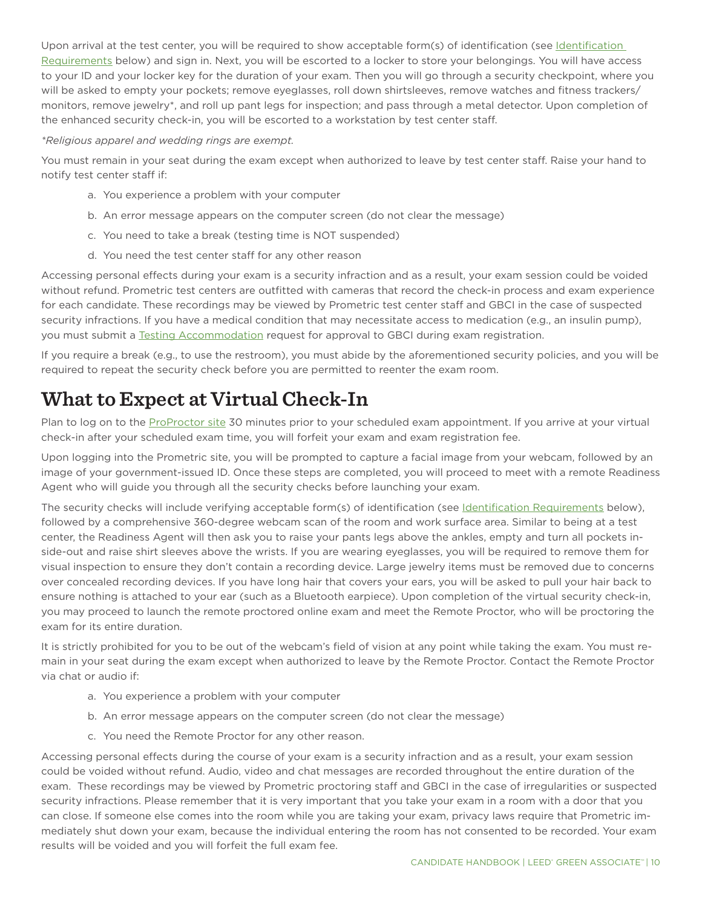<span id="page-9-0"></span>Upon arrival at the test center, you will be required to show acceptable form(s) of identification (see Identification [Requirements below\)](#page-10-0) and sign in. Next, you will be escorted to a locker to store your belongings. You will have access to your ID and your locker key for the duration of your exam. Then you will go through a security checkpoint, where you will be asked to empty your pockets; remove eyeglasses, roll down shirtsleeves, remove watches and fitness trackers/ monitors, remove jewelry\*, and roll up pant legs for inspection; and pass through a metal detector. Upon completion of the enhanced security check-in, you will be escorted to a workstation by test center staff.

### *\*Religious apparel and wedding rings are exempt.*

You must remain in your seat during the exam except when authorized to leave by test center staff. Raise your hand to notify test center staff if:

- a. You experience a problem with your computer
- b. An error message appears on the computer screen (do not clear the message)
- c. You need to take a break (testing time is NOT suspended)
- d. You need the test center staff for any other reason

Accessing personal effects during your exam is a security infraction and as a result, your exam session could be voided without refund. Prometric test centers are outfitted with cameras that record the check-in process and exam experience for each candidate. These recordings may be viewed by Prometric test center staff and GBCI in the case of suspected security infractions. If you have a medical condition that may necessitate access to medication (e.g., an insulin pump), you must submit a [Testing Accommodation](#page-4-1) request for approval to GBCI during exam registration.

If you require a break (e.g., to use the restroom), you must abide by the aforementioned security policies, and you will be required to repeat the security check before you are permitted to reenter the exam room.

# **What to Expect at Virtual Check-In**

Plan to log on to the [ProProctor site](https://rpcandidate.prometric.com/) 30 minutes prior to your scheduled exam appointment. If you arrive at your virtual check-in after your scheduled exam time, you will forfeit your exam and exam registration fee.

Upon logging into the Prometric site, you will be prompted to capture a facial image from your webcam, followed by an image of your government-issued ID. Once these steps are completed, you will proceed to meet with a remote Readiness Agent who will guide you through all the security checks before launching your exam.

The security checks will include verifying acceptable form(s) of identification (see [Identification Requirements](#page-10-1) below), followed by a comprehensive 360-degree webcam scan of the room and work surface area. Similar to being at a test center, the Readiness Agent will then ask you to raise your pants legs above the ankles, empty and turn all pockets inside-out and raise shirt sleeves above the wrists. If you are wearing eyeglasses, you will be required to remove them for visual inspection to ensure they don't contain a recording device. Large jewelry items must be removed due to concerns over concealed recording devices. If you have long hair that covers your ears, you will be asked to pull your hair back to ensure nothing is attached to your ear (such as a Bluetooth earpiece). Upon completion of the virtual security check-in, you may proceed to launch the remote proctored online exam and meet the Remote Proctor, who will be proctoring the exam for its entire duration.

It is strictly prohibited for you to be out of the webcam's field of vision at any point while taking the exam. You must remain in your seat during the exam except when authorized to leave by the Remote Proctor. Contact the Remote Proctor via chat or audio if:

- a. You experience a problem with your computer
- b. An error message appears on the computer screen (do not clear the message)
- c. You need the Remote Proctor for any other reason.

Accessing personal effects during the course of your exam is a security infraction and as a result, your exam session could be voided without refund. Audio, video and chat messages are recorded throughout the entire duration of the exam. These recordings may be viewed by Prometric proctoring staff and GBCI in the case of irregularities or suspected security infractions. Please remember that it is very important that you take your exam in a room with a door that you can close. If someone else comes into the room while you are taking your exam, privacy laws require that Prometric immediately shut down your exam, because the individual entering the room has not consented to be recorded. Your exam results will be voided and you will forfeit the full exam fee.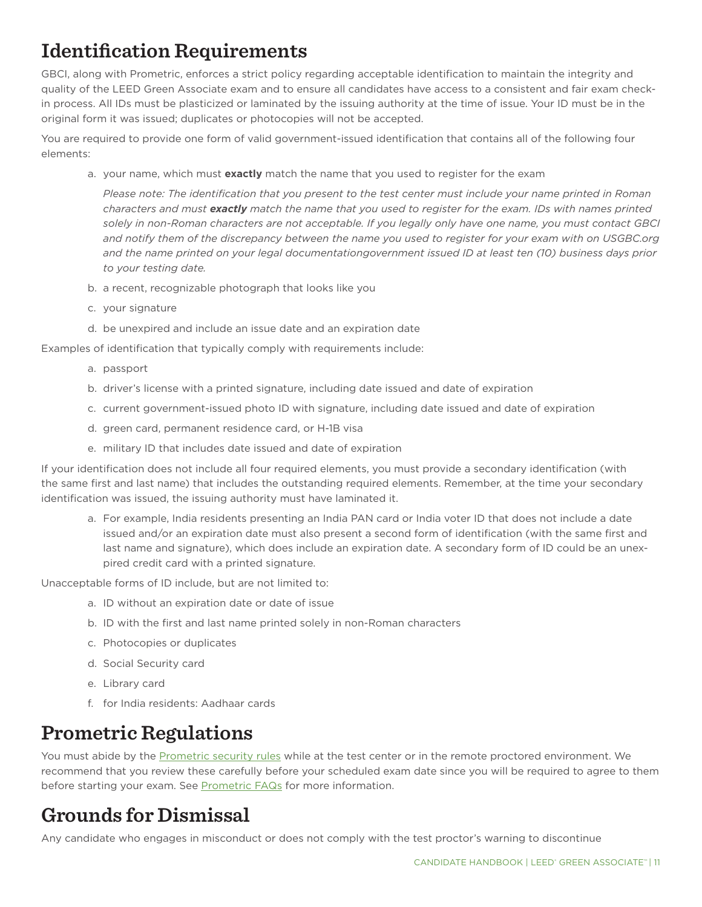# <span id="page-10-1"></span><span id="page-10-0"></span>**Identification Requirements**

GBCI, along with Prometric, enforces a strict policy regarding acceptable identification to maintain the integrity and quality of the LEED Green Associate exam and to ensure all candidates have access to a consistent and fair exam checkin process. All IDs must be plasticized or laminated by the issuing authority at the time of issue. Your ID must be in the original form it was issued; duplicates or photocopies will not be accepted.

You are required to provide one form of valid government-issued identification that contains all of the following four elements:

a. your name, which must **exactly** match the name that you used to register for the exam

*Please note: The identification that you present to the test center must include your name printed in Roman characters and must exactly match the name that you used to register for the exam. IDs with names printed solely in non-Roman characters are not acceptable. If you legally only have one name, you must contact GBCI and notify them of the discrepancy between the name you used to register for your exam with on USGBC.org and the name printed on your legal documentationgovernment issued ID at least ten (10) business days prior to your testing date.*

- b. a recent, recognizable photograph that looks like you
- c. your signature
- d. be unexpired and include an issue date and an expiration date

Examples of identification that typically comply with requirements include:

- a. passport
- b. driver's license with a printed signature, including date issued and date of expiration
- c. current government-issued photo ID with signature, including date issued and date of expiration
- d. green card, permanent residence card, or H-1B visa
- e. military ID that includes date issued and date of expiration

If your identification does not include all four required elements, you must provide a secondary identification (with the same first and last name) that includes the outstanding required elements. Remember, at the time your secondary identification was issued, the issuing authority must have laminated it.

a. For example, India residents presenting an India PAN card or India voter ID that does not include a date issued and/or an expiration date must also present a second form of identification (with the same first and last name and signature), which does include an expiration date. A secondary form of ID could be an unexpired credit card with a printed signature.

Unacceptable forms of ID include, but are not limited to:

- a. ID without an expiration date or date of issue
- b. ID with the first and last name printed solely in non-Roman characters
- c. Photocopies or duplicates
- d. Social Security card
- e. Library card
- f. for India residents: Aadhaar cards

# **Prometric Regulations**

You must abide by the [Prometric security rules](https://www.prometric.com/sites/default/files/TestCenterRegulations.pdf) while at the test center or in the remote proctored environment. We recommend that you review these carefully before your scheduled exam date since you will be required to agree to them before starting your exam. See [Prometric FAQs](https://www.prometric.com/en-us/for-test-takers/Prepare-for-Test-Day/frequently-asked-questions/Pages/default.aspx) for more information.

# **Grounds for Dismissal**

Any candidate who engages in misconduct or does not comply with the test proctor's warning to discontinue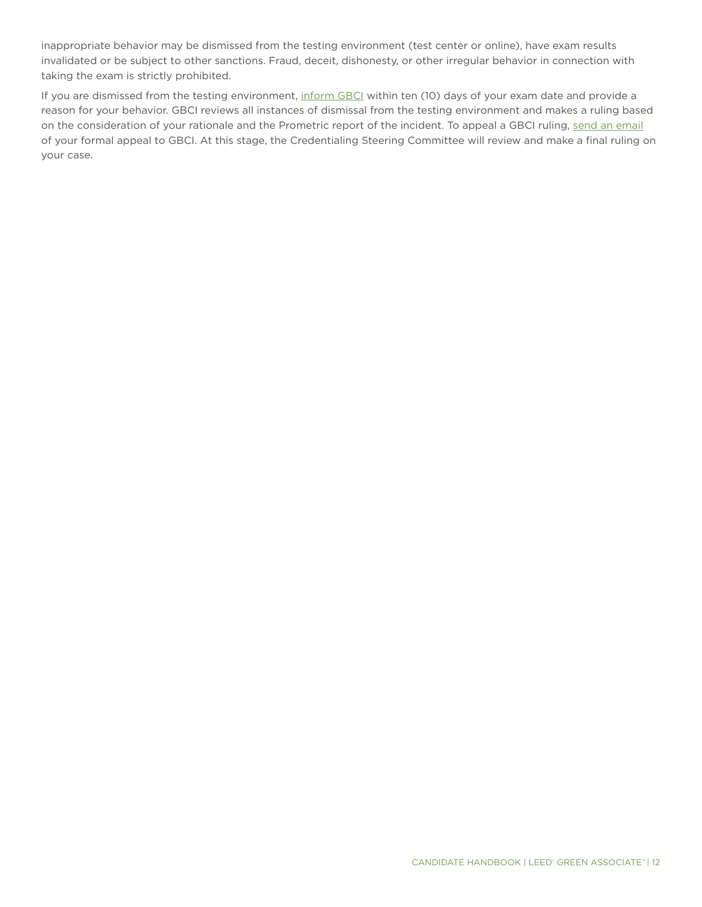inappropriate behavior may be dismissed from the testing environment (test center or online), have exam results invalidated or be subject to other sanctions. Fraud, deceit, dishonesty, or other irregular behavior in connection with taking the exam is strictly prohibited.

If you are dismissed from the testing environment, [inform GBCI](http://www.gbci.org/contact) within ten (10) days of your exam date and provide a reason for your behavior. GBCI reviews all instances of dismissal from the testing environment and makes a ruling based on the consideration of your rationale and the Prometric report of the incident. To appeal a GBCI ruling, [send an email](mailto:exam%40gbci.org?subject=) of your formal appeal to GBCI. At this stage, the Credentialing Steering Committee will review and make a final ruling on your case.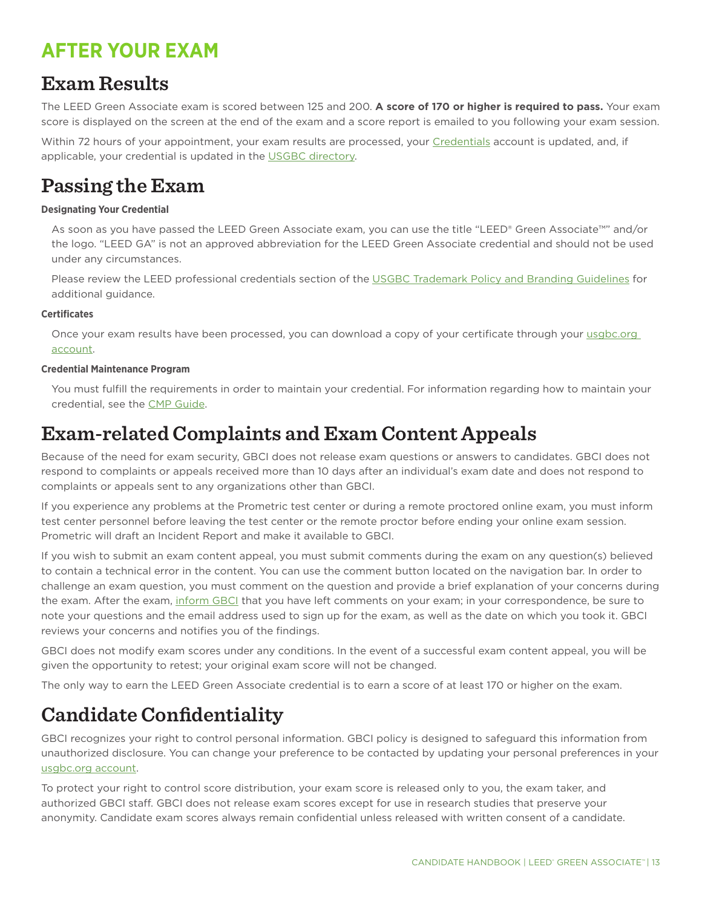# <span id="page-12-0"></span>**AFTER YOUR EXAM**

## **Exam Results**

The LEED Green Associate exam is scored between 125 and 200. **A score of 170 or higher is required to pass.** Your exam score is displayed on the screen at the end of the exam and a score report is emailed to you following your exam session.

Within 72 hours of your appointment, your exam results are processed, your [Credentials](https://www.usgbc.org/account/credentials) account is updated, and, if applicable, your credential is updated in the [USGBC directory](http://www.usgbc.org/people).

## **Passing the Exam**

### **Designating Your Credential**

As soon as you have passed the LEED Green Associate exam, you can use the title "LEED® Green Associate™" and/or the logo. "LEED GA" is not an approved abbreviation for the LEED Green Associate credential and should not be used under any circumstances.

Please review the LEED professional credentials section of the [USGBC Trademark Policy and Branding Guidelines](http://www.usgbc.org/resources/usgbc-trademark-policy-and-branding-guidelines) for additional guidance.

### **Certificates**

Once your exam results have been processed, you can download a copy of your certificate through your usgbc.org [account.](http://www.usgbc.org/account/credentials)

### **Credential Maintenance Program**

You must fulfill the requirements in order to maintain your credential. For information regarding how to maintain your credential, see the [CMP Guide.](http://www.usgbc.org/resources/cmp-guide)

## **Exam-related Complaints and Exam Content Appeals**

Because of the need for exam security, GBCI does not release exam questions or answers to candidates. GBCI does not respond to complaints or appeals received more than 10 days after an individual's exam date and does not respond to complaints or appeals sent to any organizations other than GBCI.

If you experience any problems at the Prometric test center or during a remote proctored online exam, you must inform test center personnel before leaving the test center or the remote proctor before ending your online exam session. Prometric will draft an Incident Report and make it available to GBCI.

If you wish to submit an exam content appeal, you must submit comments during the exam on any question(s) believed to contain a technical error in the content. You can use the comment button located on the navigation bar. In order to challenge an exam question, you must comment on the question and provide a brief explanation of your concerns during the exam. After the exam, [inform GBCI](http://www.gbci.org/contact) that you have left comments on your exam; in your correspondence, be sure to note your questions and the email address used to sign up for the exam, as well as the date on which you took it. GBCI reviews your concerns and notifies you of the findings.

GBCI does not modify exam scores under any conditions. In the event of a successful exam content appeal, you will be given the opportunity to retest; your original exam score will not be changed.

The only way to earn the LEED Green Associate credential is to earn a score of at least 170 or higher on the exam.

# **Candidate Confidentiality**

GBCI recognizes your right to control personal information. GBCI policy is designed to safeguard this information from unauthorized disclosure. You can change your preference to be contacted by updating your personal preferences in your [usgbc.org account.](http://www.usgbc.org/legacy/account/subscriptions)

To protect your right to control score distribution, your exam score is released only to you, the exam taker, and authorized GBCI staff. GBCI does not release exam scores except for use in research studies that preserve your anonymity. Candidate exam scores always remain confidential unless released with written consent of a candidate.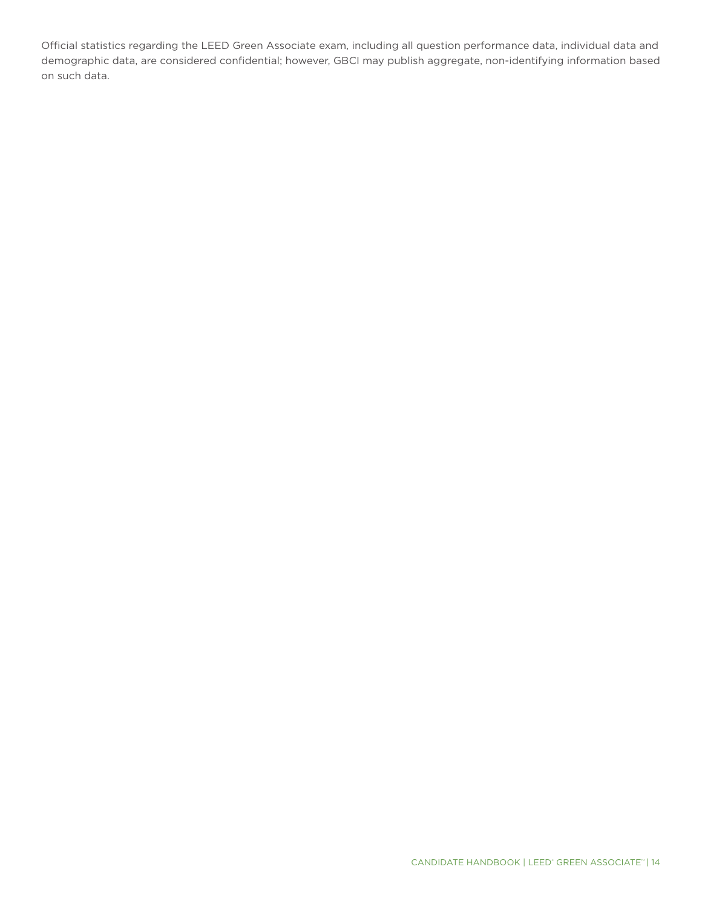Official statistics regarding the LEED Green Associate exam, including all question performance data, individual data and demographic data, are considered confidential; however, GBCI may publish aggregate, non-identifying information based on such data.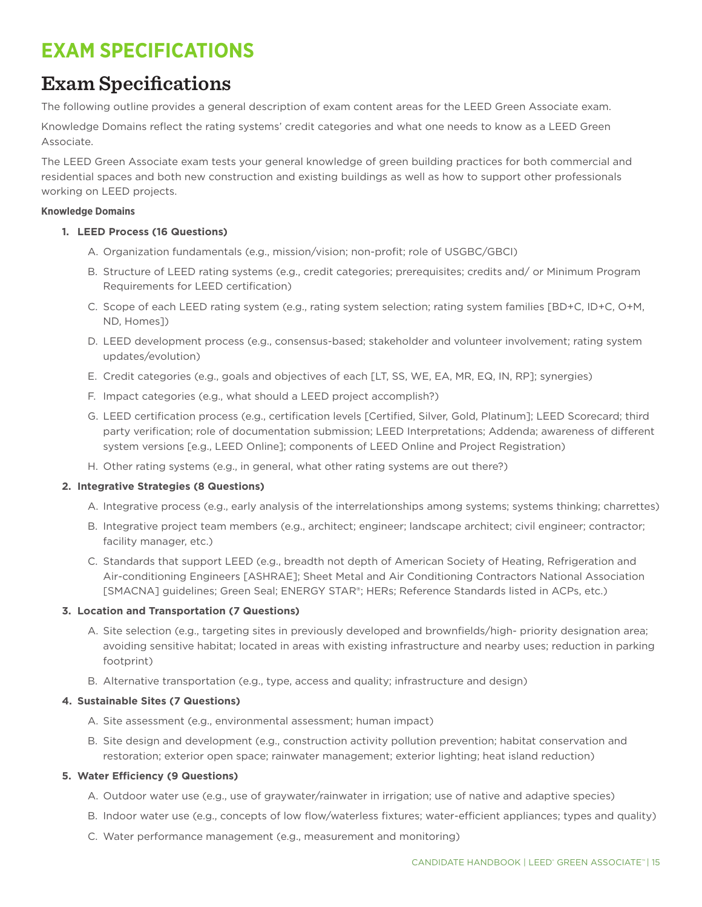# <span id="page-14-0"></span>**EXAM SPECIFICATIONS**

# **Exam Specifications**

The following outline provides a general description of exam content areas for the LEED Green Associate exam.

Knowledge Domains reflect the rating systems' credit categories and what one needs to know as a LEED Green Associate.

The LEED Green Associate exam tests your general knowledge of green building practices for both commercial and residential spaces and both new construction and existing buildings as well as how to support other professionals working on LEED projects.

### **Knowledge Domains**

### **1. LEED Process (16 Questions)**

- A. Organization fundamentals (e.g., mission/vision; non-profit; role of USGBC/GBCI)
- B. Structure of LEED rating systems (e.g., credit categories; prerequisites; credits and/ or Minimum Program Requirements for LEED certification)
- C. Scope of each LEED rating system (e.g., rating system selection; rating system families [BD+C, ID+C, O+M, ND, Homes])
- D. LEED development process (e.g., consensus-based; stakeholder and volunteer involvement; rating system updates/evolution)
- E. Credit categories (e.g., goals and objectives of each [LT, SS, WE, EA, MR, EQ, IN, RP]; synergies)
- F. Impact categories (e.g., what should a LEED project accomplish?)
- G. LEED certification process (e.g., certification levels [Certified, Silver, Gold, Platinum]; LEED Scorecard; third party verification; role of documentation submission; LEED Interpretations; Addenda; awareness of different system versions [e.g., LEED Online]; components of LEED Online and Project Registration)
- H. Other rating systems (e.g., in general, what other rating systems are out there?)

### **2. Integrative Strategies (8 Questions)**

- A. Integrative process (e.g., early analysis of the interrelationships among systems; systems thinking; charrettes)
- B. Integrative project team members (e.g., architect; engineer; landscape architect; civil engineer; contractor; facility manager, etc.)
- C. Standards that support LEED (e.g., breadth not depth of American Society of Heating, Refrigeration and Air-conditioning Engineers [ASHRAE]; Sheet Metal and Air Conditioning Contractors National Association [SMACNA] guidelines; Green Seal; ENERGY STAR®; HERs; Reference Standards listed in ACPs, etc.)

### **3. Location and Transportation (7 Questions)**

- A. Site selection (e.g., targeting sites in previously developed and brownfields/high- priority designation area; avoiding sensitive habitat; located in areas with existing infrastructure and nearby uses; reduction in parking footprint)
- B. Alternative transportation (e.g., type, access and quality; infrastructure and design)

### **4. Sustainable Sites (7 Questions)**

- A. Site assessment (e.g., environmental assessment; human impact)
- B. Site design and development (e.g., construction activity pollution prevention; habitat conservation and restoration; exterior open space; rainwater management; exterior lighting; heat island reduction)

### **5. Water Efficiency (9 Questions)**

- A. Outdoor water use (e.g., use of graywater/rainwater in irrigation; use of native and adaptive species)
- B. Indoor water use (e.g., concepts of low flow/waterless fixtures; water-efficient appliances; types and quality)
- C. Water performance management (e.g., measurement and monitoring)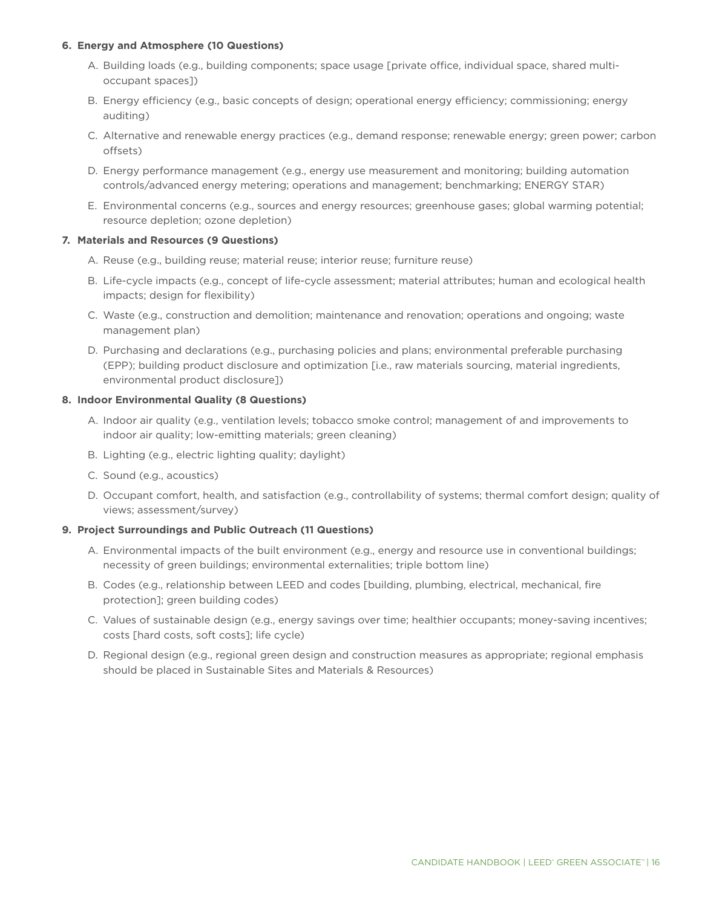### **6. Energy and Atmosphere (10 Questions)**

- A. Building loads (e.g., building components; space usage [private office, individual space, shared multioccupant spaces])
- B. Energy efficiency (e.g., basic concepts of design; operational energy efficiency; commissioning; energy auditing)
- C. Alternative and renewable energy practices (e.g., demand response; renewable energy; green power; carbon offsets)
- D. Energy performance management (e.g., energy use measurement and monitoring; building automation controls/advanced energy metering; operations and management; benchmarking; ENERGY STAR)
- E. Environmental concerns (e.g., sources and energy resources; greenhouse gases; global warming potential; resource depletion; ozone depletion)

### **7. Materials and Resources (9 Questions)**

- A. Reuse (e.g., building reuse; material reuse; interior reuse; furniture reuse)
- B. Life-cycle impacts (e.g., concept of life-cycle assessment; material attributes; human and ecological health impacts; design for flexibility)
- C. Waste (e.g., construction and demolition; maintenance and renovation; operations and ongoing; waste management plan)
- D. Purchasing and declarations (e.g., purchasing policies and plans; environmental preferable purchasing (EPP); building product disclosure and optimization [i.e., raw materials sourcing, material ingredients, environmental product disclosure])

### **8. Indoor Environmental Quality (8 Questions)**

- A. Indoor air quality (e.g., ventilation levels; tobacco smoke control; management of and improvements to indoor air quality; low-emitting materials; green cleaning)
- B. Lighting (e.g., electric lighting quality; daylight)
- C. Sound (e.g., acoustics)
- D. Occupant comfort, health, and satisfaction (e.g., controllability of systems; thermal comfort design; quality of views; assessment/survey)

#### **9. Project Surroundings and Public Outreach (11 Questions)**

- A. Environmental impacts of the built environment (e.g., energy and resource use in conventional buildings; necessity of green buildings; environmental externalities; triple bottom line)
- B. Codes (e.g., relationship between LEED and codes [building, plumbing, electrical, mechanical, fire protection]; green building codes)
- C. Values of sustainable design (e.g., energy savings over time; healthier occupants; money-saving incentives; costs [hard costs, soft costs]; life cycle)
- D. Regional design (e.g., regional green design and construction measures as appropriate; regional emphasis should be placed in Sustainable Sites and Materials & Resources)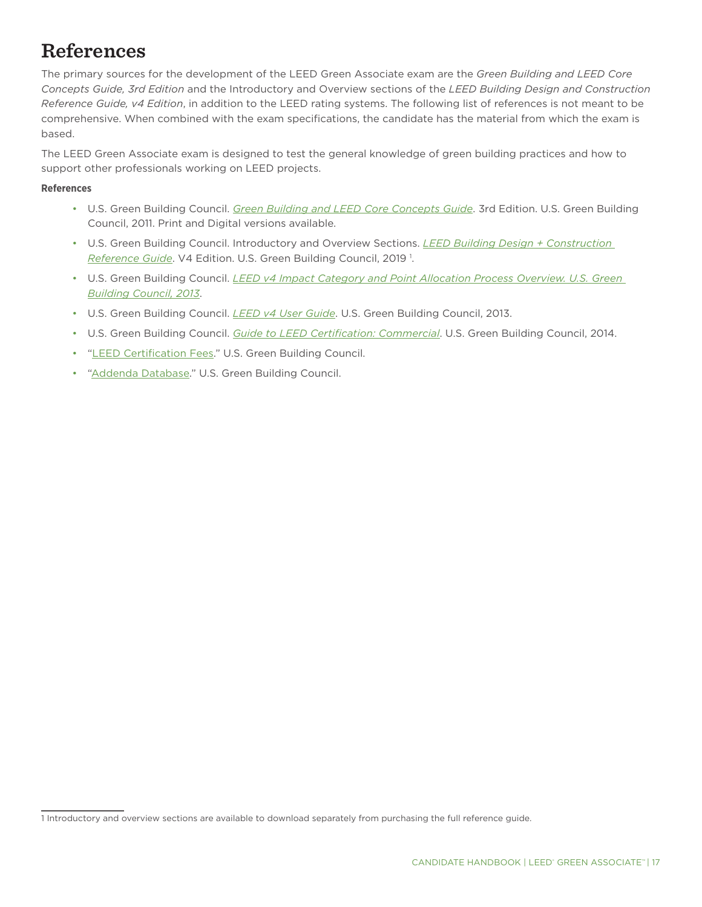# <span id="page-16-0"></span>**References**

The primary sources for the development of the LEED Green Associate exam are the *Green Building and LEED Core Concepts Guide, 3rd Edition* and the Introductory and Overview sections of the *LEED Building Design and Construction Reference Guide, v4 Edition*, in addition to the LEED rating systems. The following list of references is not meant to be comprehensive. When combined with the exam specifications, the candidate has the material from which the exam is based.

The LEED Green Associate exam is designed to test the general knowledge of green building practices and how to support other professionals working on LEED projects.

### **References**

- U.S. Green Building Council. *[Green Building and LEED Core Concepts Guide](https://www.usgbc.org/resources/leed-core-concepts-guide)*. 3rd Edition. U.S. Green Building Council, 2011. Print and Digital versions available.
- U.S. Green Building Council. Introductory and Overview Sections. *[LEED Building Design + Construction](https://www.usgbc.org/sites/all/assets/section/files/v4-guide-excerpts/Excerpt_v4_BDC.pdf)  [Reference Guide](https://www.usgbc.org/sites/all/assets/section/files/v4-guide-excerpts/Excerpt_v4_BDC.pdf)*. V4 Edition. U.S. Green Building Council, 2019 1 .
- U.S. Green Building Council. *LEED v4 Impact Category and Point Allocation Process Overview. U.S. Green [Building Council, 2013](http://www.usgbc.org/resources/leed-v4-impact-category-and-point-allocation-process-overview)*.
- U.S. Green Building Council. *[LEED v4 User Guide](http://www.usgbc.org/resources/leed-v4-user-guide)*. U.S. Green Building Council, 2013.
- U.S. Green Building Council. *[Guide to LEED Certification: Commercial](http://www.usgbc.org/resources/guide-leed-certification-commerical)*. U.S. Green Building Council, 2014.
- "[LEED Certification Fees](https://new.usgbc.org/cert-guide/fees)." U.S. Green Building Council.
- ["Addenda Database](http://www.usgbc.org/leed-interpretations)." U.S. Green Building Council.

<sup>1</sup> Introductory and overview sections are available to download separately from purchasing the full reference guide.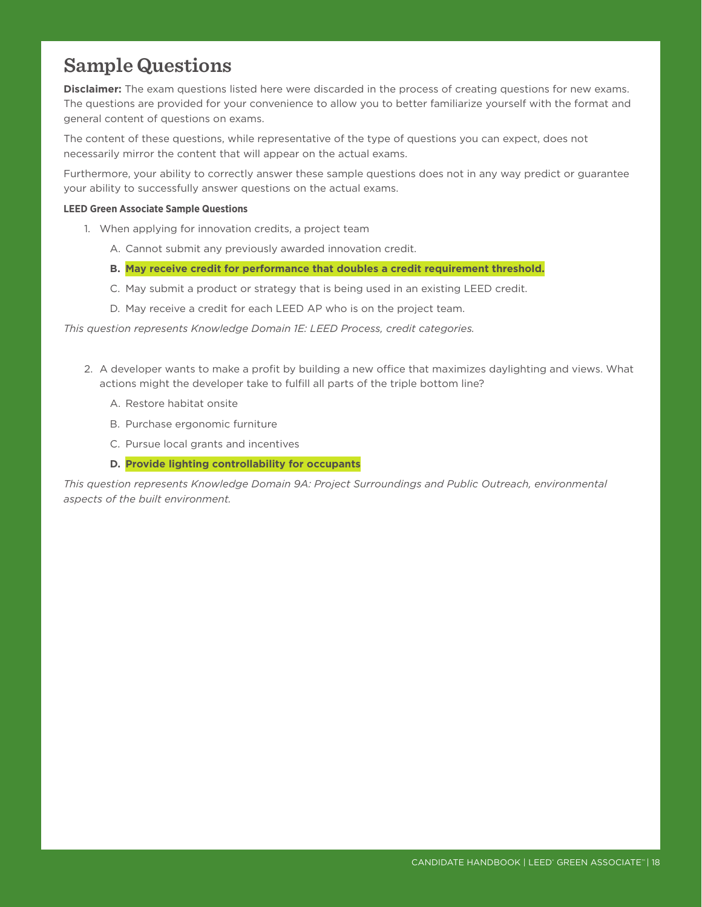## <span id="page-17-0"></span>**Sample Questions**

**Disclaimer:** The exam questions listed here were discarded in the process of creating questions for new exams. The questions are provided for your convenience to allow you to better familiarize yourself with the format and general content of questions on exams.

The content of these questions, while representative of the type of questions you can expect, does not necessarily mirror the content that will appear on the actual exams.

Furthermore, your ability to correctly answer these sample questions does not in any way predict or guarantee your ability to successfully answer questions on the actual exams.

### **LEED Green Associate Sample Questions**

- 1. When applying for innovation credits, a project team
	- A. Cannot submit any previously awarded innovation credit.
	- **B. May receive credit for performance that doubles a credit requirement threshold.**
	- C. May submit a product or strategy that is being used in an existing LEED credit.
	- D. May receive a credit for each LEED AP who is on the project team.

*This question represents Knowledge Domain 1E: LEED Process, credit categories.*

- 2. A developer wants to make a profit by building a new office that maximizes daylighting and views. What actions might the developer take to fulfill all parts of the triple bottom line?
	- A. Restore habitat onsite
	- B. Purchase ergonomic furniture
	- C. Pursue local grants and incentives
	- **D. Provide lighting controllability for occupants**

*This question represents Knowledge Domain 9A: Project Surroundings and Public Outreach, environmental aspects of the built environment.*